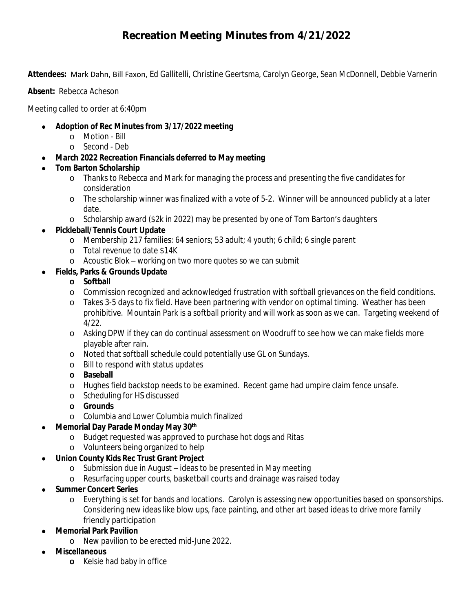# **Recreation Meeting Minutes from 4/21/2022**

**Attendees:** Mark Dahn, Bill Faxon, Ed Gallitelli, Christine Geertsma, Carolyn George, Sean McDonnell, Debbie Varnerin

**Absent:** Rebecca Acheson

Meeting called to order at 6:40pm

- **Adoption of Rec Minutes from 3/17/2022 meeting**
	- o Motion Bill
	- o Second Deb
- **March 2022 Recreation Financials deferred to May meeting**
- **Tom Barton Scholarship**
	- o Thanks to Rebecca and Mark for managing the process and presenting the five candidates for consideration
	- o The scholarship winner was finalized with a vote of 5-2. Winner will be announced publicly at a later date.
	- o Scholarship award (\$2k in 2022) may be presented by one of Tom Barton's daughters
- **Pickleball/Tennis Court Update**
	- o Membership 217 families: 64 seniors; 53 adult; 4 youth; 6 child; 6 single parent
	- o Total revenue to date \$14K
	- o Acoustic Blok working on two more quotes so we can submit
- **Fields, Parks & Grounds Update**

#### **o Softball**

- o Commission recognized and acknowledged frustration with softball grievances on the field conditions.
- o Takes 3-5 days to fix field. Have been partnering with vendor on optimal timing. Weather has been prohibitive. Mountain Park is a softball priority and will work as soon as we can. Targeting weekend of 4/22.
- o Asking DPW if they can do continual assessment on Woodruff to see how we can make fields more playable after rain.
- o Noted that softball schedule could potentially use GL on Sundays.
- o Bill to respond with status updates
- **o Baseball**
- o Hughes field backstop needs to be examined. Recent game had umpire claim fence unsafe.
- o Scheduling for HS discussed
- **o Grounds**
- o Columbia and Lower Columbia mulch finalized

## **Memorial Day Parade Monday May 30th**

- o Budget requested was approved to purchase hot dogs and Ritas
- o Volunteers being organized to help

## **Union County Kids Rec Trust Grant Project**

- o Submission due in August ideas to be presented in May meeting
- o Resurfacing upper courts, basketball courts and drainage was raised today
- **Summer Concert Series**
	- o Everything is set for bands and locations. Carolyn is assessing new opportunities based on sponsorships. Considering new ideas like blow ups, face painting, and other art based ideas to drive more family friendly participation
- **Memorial Park Pavilion**
	- o New pavilion to be erected mid-June 2022.
- **Miscellaneous**
	- **o** Kelsie had baby in office